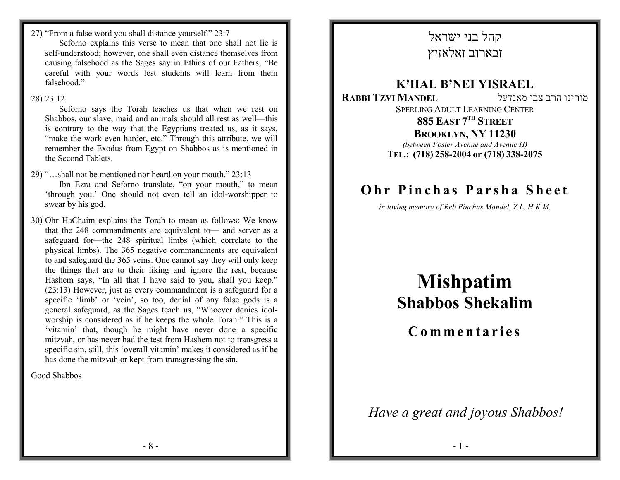27) "From a false word you shall distance yourself." 23:7

 Seforno explains this verse to mean that one shall not lie is self-understood; however, one shall even distance themselves from causing falsehood as the Sages say in Ethics of our Fathers, "Be careful with your words lest students will learn from them falsehood."

 Seforno says the Torah teaches us that when we rest on Shabbos, our slave, maid and animals should all rest as well—this is contrary to the way that the Egyptians treated us, as it says, "make the work even harder, etc." Through this attribute, we will remember the Exodus from Egypt on Shabbos as is mentioned in the Second Tablets.

29) "…shall not be mentioned nor heard on your mouth." 23:13 Ibn Ezra and Seforno translate, "on your mouth," to mean 'through you.' One should not even tell an idol-worshipper to swear by his god.

30) Ohr HaChaim explains the Torah to mean as follows: We know that the 248 commandments are equivalent to— and server as a safeguard for—the 248 spiritual limbs (which correlate to the physical limbs). The 365 negative commandments are equivalent to and safeguard the 365 veins. One cannot say they will only keep the things that are to their liking and ignore the rest, because Hashem says, "In all that I have said to you, shall you keep." (23:13) However, just as every commandment is a safeguard for a specific 'limb' or 'vein', so too, denial of any false gods is a general safeguard, as the Sages teach us, "Whoever denies idolworship is considered as if he keeps the whole Torah." This is a 'vitamin' that, though he might have never done a specific mitzvah, or has never had the test from Hashem not to transgress a specific sin, still, this 'overall vitamin' makes it considered as if he has done the mitzvah or kept from transgressing the sin.

Good Shabbos

# קהל בני ישראלזבארוב זאלאזיץ

### K'HAL B'NEI YISRAEL מורינו הרב צבי מאנדעל RABBI TZVI MANDEL SPERLING ADULT LEARNING CENTER885 East 7<sup>th</sup> Street **BROOKLYN, NY 11230**<br>byggn Foster Ayenye and Ayenye (between Foster Avenue and Avenue H) TEL.: (718) 258-2004 or (718) 338-2075

# Ohr Pinchas Parsha Sheet

in loving memory of Reb Pinchas Mandel, Z.L. H.K.M.

# Mishpatim Shabbos Shekalim

Commentaries

Have a great and joyous Shabbos!

<sup>28)</sup> 23:12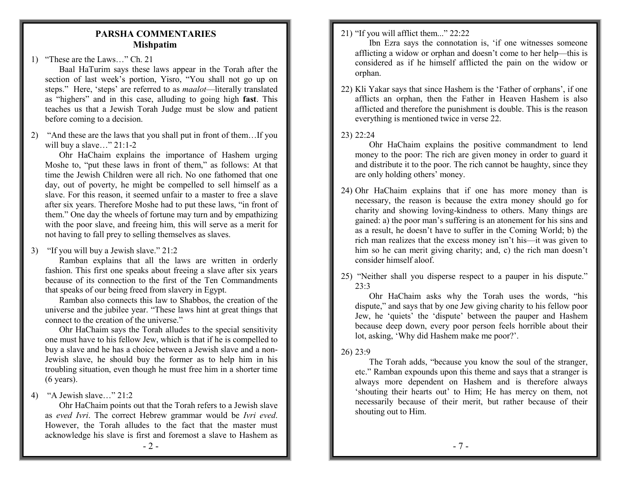#### PARSHA COMMENTARIES Mishpatim

1) "These are the Laws…" Ch. 21

 Baal HaTurim says these laws appear in the Torah after the section of last week's portion, Yisro, "You shall not go up on steps." Here, 'steps' are referred to as *maalot*—literally translated as "highers" and in this case, alluding to going high fast. This teaches us that a Jewish Torah Judge must be slow and patient before coming to a decision.

2) "And these are the laws that you shall put in front of them…If you will buy a slave..." 21:1-2

 Ohr HaChaim explains the importance of Hashem urging Moshe to, "put these laws in front of them," as follows: At that time the Jewish Children were all rich. No one fathomed that one day, out of poverty, he might be compelled to sell himself as a slave. For this reason, it seemed unfair to a master to free a slave after six years. Therefore Moshe had to put these laws, "in front of them." One day the wheels of fortune may turn and by empathizing with the poor slave, and freeing him, this will serve as a merit for not having to fall prey to selling themselves as slaves.

3) "If you will buy a Jewish slave." 21:2

 Ramban explains that all the laws are written in orderly fashion. This first one speaks about freeing a slave after six years because of its connection to the first of the Ten Commandments that speaks of our being freed from slavery in Egypt.

 Ramban also connects this law to Shabbos, the creation of the universe and the jubilee year. "These laws hint at great things that connect to the creation of the universe."

 Ohr HaChaim says the Torah alludes to the special sensitivity one must have to his fellow Jew, which is that if he is compelled to buy a slave and he has a choice between a Jewish slave and a non-Jewish slave, he should buy the former as to help him in his troubling situation, even though he must free him in a shorter time (6 years).

4) "A Jewish slave…" 21:2

 Ohr HaChaim points out that the Torah refers to a Jewish slave as eved Ivri. The correct Hebrew grammar would be Ivri eved. However, the Torah alludes to the fact that the master must acknowledge his slave is first and foremost a slave to Hashem as

 Ibn Ezra says the connotation is, 'if one witnesses someone afflicting a widow or orphan and doesn't come to her help—this is considered as if he himself afflicted the pain on the widow or orphan.

22) Kli Yakar says that since Hashem is the 'Father of orphans', if one afflicts an orphan, then the Father in Heaven Hashem is also afflicted and therefore the punishment is double. This is the reason everything is mentioned twice in verse 22.

# 23) 22:24

 Ohr HaChaim explains the positive commandment to lend money to the poor: The rich are given money in order to guard it and distribute it to the poor. The rich cannot be haughty, since they are only holding others' money.

- 24) Ohr HaChaim explains that if one has more money than is necessary, the reason is because the extra money should go for charity and showing loving-kindness to others. Many things are gained: a) the poor man's suffering is an atonement for his sins and as a result, he doesn't have to suffer in the Coming World; b) the rich man realizes that the excess money isn't his—it was given to him so he can merit giving charity; and, c) the rich man doesn't consider himself aloof.
- 25) "Neither shall you disperse respect to a pauper in his dispute."  $23.3$

 Ohr HaChaim asks why the Torah uses the words, "his dispute," and says that by one Jew giving charity to his fellow poor Jew, he 'quiets' the 'dispute' between the pauper and Hashem because deep down, every poor person feels horrible about their lot, asking, 'Why did Hashem make me poor?'.

# 26) 23:9

 The Torah adds, "because you know the soul of the stranger, etc." Ramban expounds upon this theme and says that a stranger is always more dependent on Hashem and is therefore always 'shouting their hearts out' to Him; He has mercy on them, not necessarily because of their merit, but rather because of their shouting out to Him.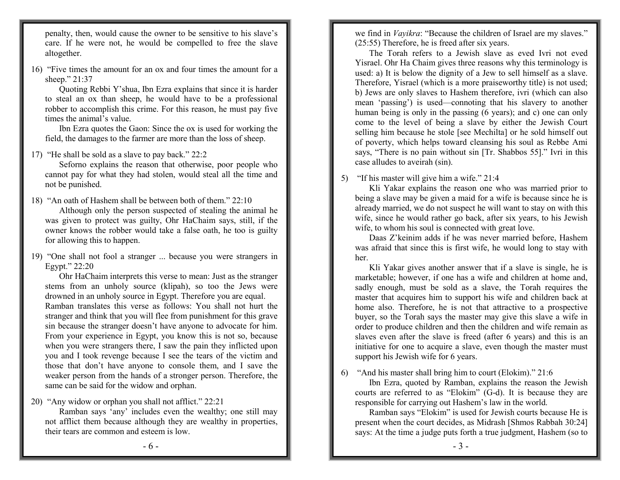penalty, then, would cause the owner to be sensitive to his slave's care. If he were not, he would be compelled to free the slave altogether.

16) "Five times the amount for an ox and four times the amount for a sheep." 21:37

 Quoting Rebbi Y'shua, Ibn Ezra explains that since it is harder to steal an ox than sheep, he would have to be a professional robber to accomplish this crime. For this reason, he must pay five times the animal's value.

 Ibn Ezra quotes the Gaon: Since the ox is used for working the field, the damages to the farmer are more than the loss of sheep.

17) "He shall be sold as a slave to pay back." 22:2

 Seforno explains the reason that otherwise, poor people who cannot pay for what they had stolen, would steal all the time and not be punished.

18) "An oath of Hashem shall be between both of them." 22:10

 Although only the person suspected of stealing the animal he was given to protect was guilty, Ohr HaChaim says, still, if the owner knows the robber would take a false oath, he too is guilty for allowing this to happen.

19) "One shall not fool a stranger ... because you were strangers in Egypt." 22:20

 Ohr HaChaim interprets this verse to mean: Just as the stranger stems from an unholy source (klipah), so too the Jews were drowned in an unholy source in Egypt. Therefore you are equal. Ramban translates this verse as follows: You shall not hurt the stranger and think that you will flee from punishment for this grave sin because the stranger doesn't have anyone to advocate for him. From your experience in Egypt, you know this is not so, because when you were strangers there, I saw the pain they inflicted upon you and I took revenge because I see the tears of the victim and those that don't have anyone to console them, and I save the weaker person from the hands of a stronger person. Therefore, the same can be said for the widow and orphan.

20) "Any widow or orphan you shall not afflict." 22:21

 Ramban says 'any' includes even the wealthy; one still may not afflict them because although they are wealthy in properties, their tears are common and esteem is low.

we find in *Vayikra*: "Because the children of Israel are my slaves." (25:55) Therefore, he is freed after six years.

 The Torah refers to a Jewish slave as eved Ivri not eved Yisrael. Ohr Ha Chaim gives three reasons why this terminology is used: a) It is below the dignity of a Jew to sell himself as a slave. Therefore, Yisrael (which is a more praiseworthy title) is not used; b) Jews are only slaves to Hashem therefore, ivri (which can also mean 'passing') is used—connoting that his slavery to another human being is only in the passing (6 years); and c) one can only come to the level of being a slave by either the Jewish Court selling him because he stole [see Mechilta] or he sold himself out of poverty, which helps toward cleansing his soul as Rebbe Ami says, "There is no pain without sin [Tr. Shabbos 55]." Ivri in this case alludes to aveirah (sin).

5) "If his master will give him a wife." 21:4

 Kli Yakar explains the reason one who was married prior to being a slave may be given a maid for a wife is because since he is already married, we do not suspect he will want to stay on with this wife, since he would rather go back, after six years, to his Jewish wife, to whom his soul is connected with great love.

 Daas Z'keinim adds if he was never married before, Hashem was afraid that since this is first wife, he would long to stay with her.

 Kli Yakar gives another answer that if a slave is single, he is marketable; however, if one has a wife and children at home and, sadly enough, must be sold as a slave, the Torah requires the master that acquires him to support his wife and children back at home also. Therefore, he is not that attractive to a prospective buyer, so the Torah says the master may give this slave a wife in order to produce children and then the children and wife remain as slaves even after the slave is freed (after 6 years) and this is an initiative for one to acquire a slave, even though the master must support his Jewish wife for 6 years.

6) "And his master shall bring him to court (Elokim)." 21:6

 Ibn Ezra, quoted by Ramban, explains the reason the Jewish courts are referred to as "Elokim" (G-d). It is because they are responsible for carrying out Hashem's law in the world.

 Ramban says "Elokim" is used for Jewish courts because He is present when the court decides, as Midrash [Shmos Rabbah 30:24] says: At the time a judge puts forth a true judgment, Hashem (so to